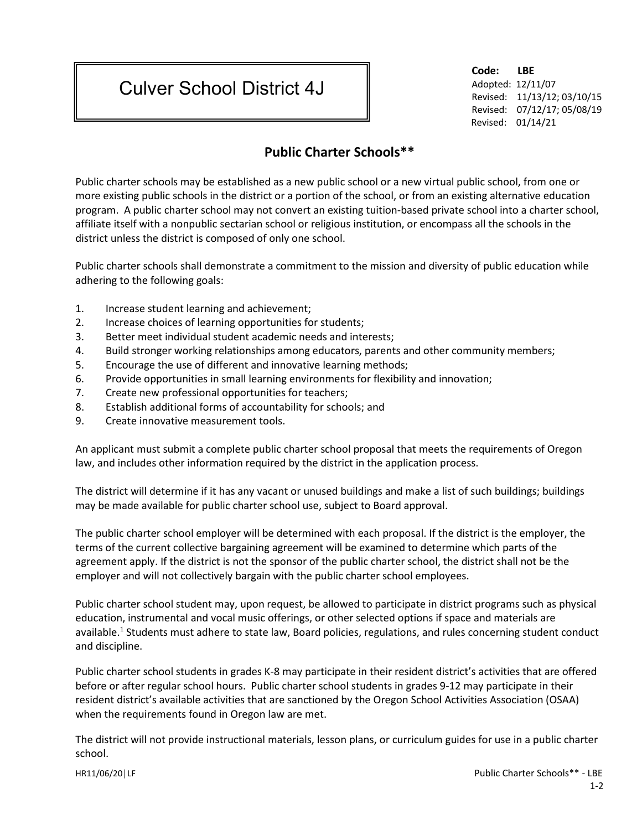## Culver School District 4J

**Code: LBE** Adopted: 12/11/07 Revised: 11/13/12; 03/10/15 Revised: 07/12/17; 05/08/19 Revised: 01/14/21

## **Public Charter Schools\*\***

Public charter schools may be established as a new public school or a new virtual public school, from one or more existing public schools in the district or a portion of the school, or from an existing alternative education program. A public charter school may not convert an existing tuition-based private school into a charter school, affiliate itself with a nonpublic sectarian school or religious institution, or encompass all the schools in the district unless the district is composed of only one school.

Public charter schools shall demonstrate a commitment to the mission and diversity of public education while adhering to the following goals:

- 1. Increase student learning and achievement;
- 2. Increase choices of learning opportunities for students;
- 3. Better meet individual student academic needs and interests;
- 4. Build stronger working relationships among educators, parents and other community members;
- 5. Encourage the use of different and innovative learning methods;
- 6. Provide opportunities in small learning environments for flexibility and innovation;
- 7. Create new professional opportunities for teachers;
- 8. Establish additional forms of accountability for schools; and
- 9. Create innovative measurement tools.

An applicant must submit a complete public charter school proposal that meets the requirements of Oregon law, and includes other information required by the district in the application process.

The district will determine if it has any vacant or unused buildings and make a list of such buildings; buildings may be made available for public charter school use, subject to Board approval.

The public charter school employer will be determined with each proposal. If the district is the employer, the terms of the current collective bargaining agreement will be examined to determine which parts of the agreement apply. If the district is not the sponsor of the public charter school, the district shall not be the employer and will not collectively bargain with the public charter school employees.

Public charter school student may, upon request, be allowed to participate in district programs such as physical education, instrumental and vocal music offerings, or other selected options if space and materials are available.<sup>1</sup> Students must adhere to state law, Board policies, regulations, and rules concerning student conduct and discipline.

Public charter school students in grades K-8 may participate in their resident district's activities that are offered before or after regular school hours. Public charter school students in grades 9-12 may participate in their resident district's available activities that are sanctioned by the Oregon School Activities Association (OSAA) when the requirements found in Oregon law are met.

The district will not provide instructional materials, lesson plans, or curriculum guides for use in a public charter school.